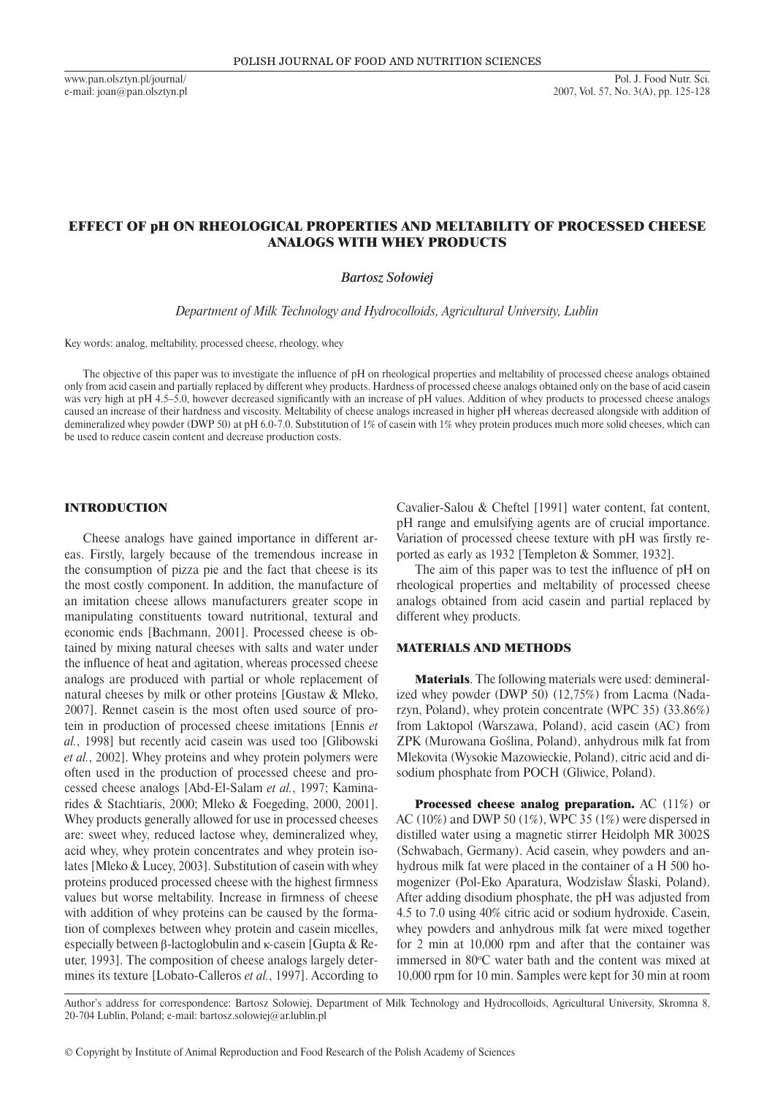www.pan.olsztyn.pl/journal/ e-mail: joan@pan.olsztyn.pl

# effect of pH on rheological properties and meltability of processed cheese analogs with whey pRODUCTs

*Bartosz Sołowiej*

*Department of Milk Technology and Hydrocolloids, Agricultural University, Lublin*

Key words: analog, meltability, processed cheese, rheology, whey

The objective of this paper was to investigate the influence of pH on rheological properties and meltability of processed cheese analogs obtained only from acid casein and partially replaced by different whey products. Hardness of processed cheese analogs obtained only on the base of acid casein was very high at pH 4.5–5.0, however decreased significantly with an increase of pH values. Addition of whey products to processed cheese analogs caused an increase of their hardness and viscosity. Meltability of cheese analogs increased in higher pH whereas decreased alongside with addition of demineralized whey powder (DWP 50) at pH 6.0-7.0. Substitution of 1% of casein with 1% whey protein produces much more solid cheeses, which can be used to reduce casein content and decrease production costs.

## **INTRODUCTION**

Cheese analogs have gained importance in different areas. Firstly, largely because of the tremendous increase in the consumption of pizza pie and the fact that cheese is its the most costly component. In addition, the manufacture of an imitation cheese allows manufacturers greater scope in manipulating constituents toward nutritional, textural and economic ends [Bachmann, 2001]. Processed cheese is obtained by mixing natural cheeses with salts and water under the influence of heat and agitation, whereas processed cheese analogs are produced with partial or whole replacement of natural cheeses by milk or other proteins [Gustaw & Mleko, 2007]. Rennet casein is the most often used source of protein in production of processed cheese imitations [Ennis *et al.*, 1998] but recently acid casein was used too [Glibowski *et al.*, 2002]. Whey proteins and whey protein polymers were often used in the production of processed cheese and processed cheese analogs [Abd-El-Salam *et al.*, 1997; Kaminarides & Stachtiaris, 2000; Mleko & Foegeding, 2000, 2001]. Whey products generally allowed for use in processed cheeses are: sweet whey, reduced lactose whey, demineralized whey, acid whey, whey protein concentrates and whey protein isolates [Mleko & Lucey, 2003]. Substitution of casein with whey proteins produced processed cheese with the highest firmness values but worse meltability. Increase in firmness of cheese with addition of whey proteins can be caused by the formation of complexes between whey protein and casein micelles, especially between β-lactoglobulin and κ*-*casein [Gupta & Reuter, 1993]. The composition of cheese analogs largely determines its texture [Lobato-Calleros *et al.*, 1997]. According to Cavalier-Salou & Cheftel [1991] water content, fat content, pH range and emulsifying agents are of crucial importance. Variation of processed cheese texture with pH was firstly reported as early as 1932 [Templeton & Sommer, 1932].

The aim of this paper was to test the influence of pH on rheological properties and meltability of processed cheese analogs obtained from acid casein and partial replaced by different whey products.

## Materials and methods

Materials. The following materials were used: demineralized whey powder (DWP 50) (12,75%) from Lacma (Nadarzyn, Poland), whey protein concentrate (WPC 35) (33.86%) from Laktopol (Warszawa, Poland), acid casein (AC) from ZPK (Murowana Goślina, Poland), anhydrous milk fat from Mlekovita (Wysokie Mazowieckie, Poland), citric acid and disodium phosphate from POCH (Gliwice, Poland).

Processed cheese analog preparation. AC (11%) or AC (10%) and DWP 50 (1%), WPC 35 (1%) were dispersed in distilled water using a magnetic stirrer Heidolph MR 3002S (Schwabach, Germany). Acid casein, whey powders and anhydrous milk fat were placed in the container of a H 500 homogenizer (Pol-Eko Aparatura, Wodzisław Ślaski, Poland). After adding disodium phosphate, the pH was adjusted from 4.5 to 7.0 using 40% citric acid or sodium hydroxide. Casein, whey powders and anhydrous milk fat were mixed together for 2 min at 10,000 rpm and after that the container was immersed in  $80^{\circ}$ C water bath and the content was mixed at 10,000 rpm for 10 min. Samples were kept for 30 min at room

Author's address for correspondence: Bartosz Sołowiej, Department of Milk Technology and Hydrocolloids, Agricultural University, Skromna 8, 20-704 Lublin, Poland; e-mail: bartosz.solowiej@ar.lublin.pl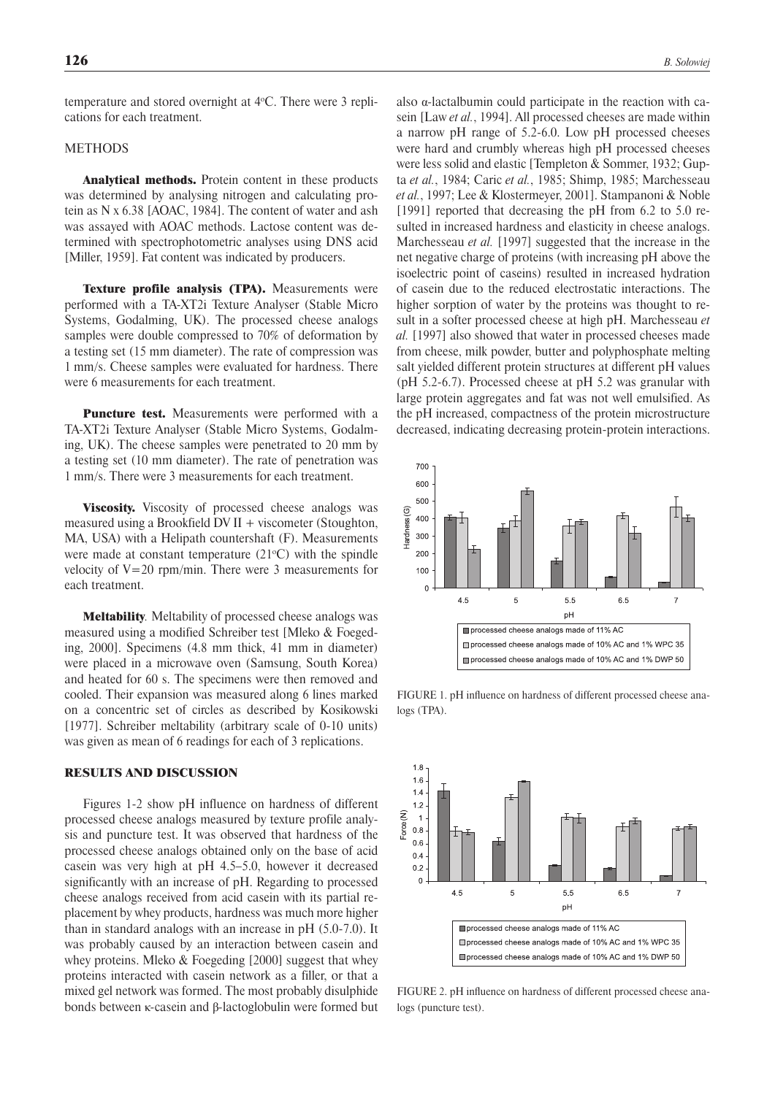temperature and stored overnight at 4o C. There were 3 replications for each treatment.

### METHODS

Analytical methods. Protein content in these products was determined by analysing nitrogen and calculating protein as N x 6.38 [AOAC, 1984]. The content of water and ash was assayed with AOAC methods. Lactose content was determined with spectrophotometric analyses using DNS acid [Miller, 1959]. Fat content was indicated by producers.

Texture profile analysis (TPA). Measurements were performed with a TA-XT2i Texture Analyser (Stable Micro Systems, Godalming, UK). The processed cheese analogs samples were double compressed to 70% of deformation by a testing set (15 mm diameter). The rate of compression was 1 mm/s. Cheese samples were evaluated for hardness. There were 6 measurements for each treatment.

**Puncture test.** Measurements were performed with a TA-XT2i Texture Analyser (Stable Micro Systems, Godalming, UK). The cheese samples were penetrated to 20 mm by a testing set (10 mm diameter). The rate of penetration was 1 mm/s. There were 3 measurements for each treatment.

Viscosity. Viscosity of processed cheese analogs was measured using a Brookfield DV II + viscometer (Stoughton, MA, USA) with a Helipath countershaft (F). Measurements were made at constant temperature  $(21^{\circ}C)$  with the spindle velocity of  $V=20$  rpm/min. There were 3 measurements for each treatment.

Meltability*.* Meltability of processed cheese analogs was measured using a modified Schreiber test [Mleko & Foegeding, 2000]. Specimens (4.8 mm thick, 41 mm in diameter) were placed in a microwave oven (Samsung, South Korea) and heated for 60 s. The specimens were then removed and cooled. Their expansion was measured along 6 lines marked on a concentric set of circles as described by Kosikowski [1977]. Schreiber meltability (arbitrary scale of 0-10 units) was given as mean of 6 readings for each of 3 replications.

#### Results and Discussion

Figures 1-2 show pH influence on hardness of different processed cheese analogs measured by texture profile analysis and puncture test. It was observed that hardness of the processed cheese analogs obtained only on the base of acid casein was very high at pH 4.5–5.0, however it decreased significantly with an increase of pH. Regarding to processed cheese analogs received from acid casein with its partial replacement by whey products, hardness was much more higher than in standard analogs with an increase in pH (5.0-7.0). It was probably caused by an interaction between casein and whey proteins. Mleko & Foegeding [2000] suggest that whey proteins interacted with casein network as a filler, or that a mixed gel network was formed. The most probably disulphide bonds between κ*-*casein and β*-*lactoglobulin were formed but also α*-*lactalbumin could participate in the reaction with casein [Law *et al.*, 1994]. All processed cheeses are made within a narrow pH range of 5.2-6.0. Low pH processed cheeses were hard and crumbly whereas high pH processed cheeses were less solid and elastic [Templeton & Sommer, 1932; Gupta *et al.*, 1984; Caric *et al.*, 1985; Shimp, 1985; Marchesseau *et al.*, 1997; Lee & Klostermeyer, 2001]. Stampanoni & Noble [1991] reported that decreasing the pH from 6.2 to 5.0 resulted in increased hardness and elasticity in cheese analogs. Marchesseau *et al.* [1997] suggested that the increase in the net negative charge of proteins (with increasing pH above the isoelectric point of caseins) resulted in increased hydration of casein due to the reduced electrostatic interactions. The higher sorption of water by the proteins was thought to result in a softer processed cheese at high pH. Marchesseau *et al.* [1997] also showed that water in processed cheeses made from cheese, milk powder, butter and polyphosphate melting salt yielded different protein structures at different pH values (pH 5.2-6.7). Processed cheese at pH 5.2 was granular with large protein aggregates and fat was not well emulsified. As the pH increased, compactness of the protein microstructure decreased, indicating decreasing protein-protein interactions.



FIGURE 1. pH influence on hardness of different processed cheese analogs (TPA).



FIGURE 2. pH influence on hardness of different processed cheese analogs (puncture test).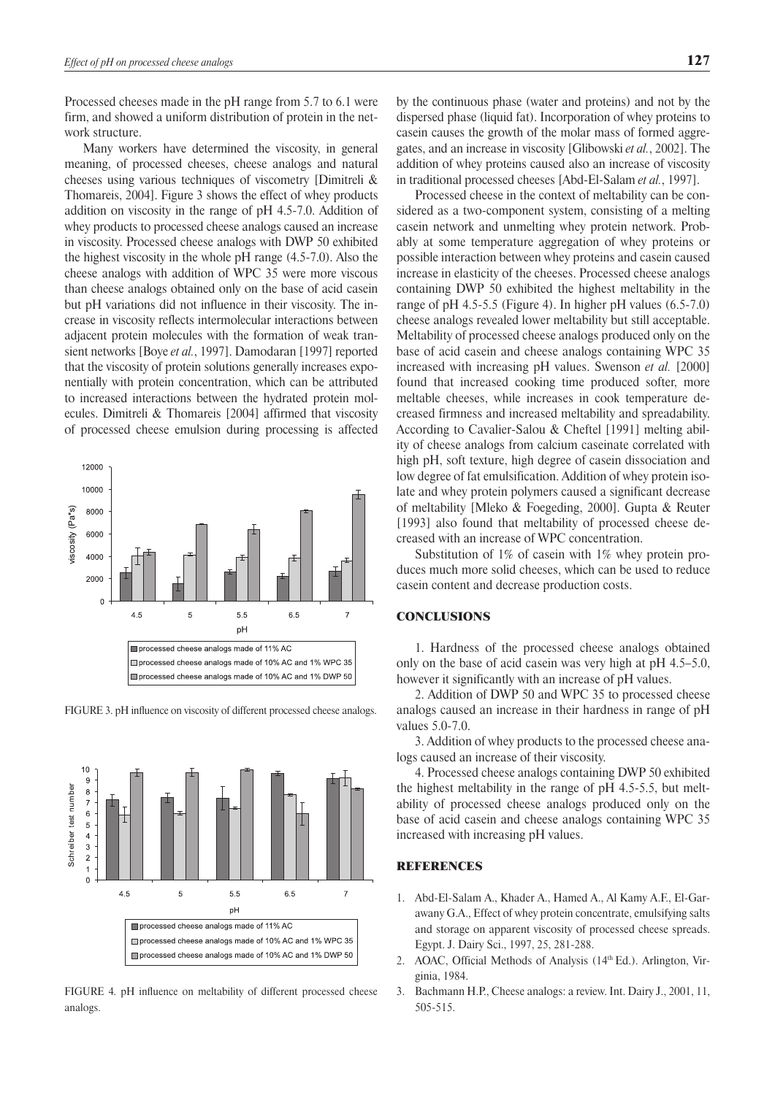Processed cheeses made in the pH range from 5.7 to 6.1 were firm, and showed a uniform distribution of protein in the network structure.

Many workers have determined the viscosity, in general meaning, of processed cheeses, cheese analogs and natural cheeses using various techniques of viscometry [Dimitreli & Thomareis, 2004]. Figure 3 shows the effect of whey products addition on viscosity in the range of pH 4.5-7.0. Addition of whey products to processed cheese analogs caused an increase in viscosity. Processed cheese analogs with DWP 50 exhibited the highest viscosity in the whole pH range (4.5-7.0). Also the cheese analogs with addition of WPC 35 were more viscous than cheese analogs obtained only on the base of acid casein but pH variations did not influence in their viscosity. The increase in viscosity reflects intermolecular interactions between adjacent protein molecules with the formation of weak transient networks [Boye *et al.*, 1997]. Damodaran [1997] reported that the viscosity of protein solutions generally increases exponentially with protein concentration, which can be attributed to increased interactions between the hydrated protein molecules. Dimitreli & Thomareis [2004] affirmed that viscosity of processed cheese emulsion during processing is affected



FIGURE 3. pH influence on viscosity of different processed cheese analogs.



FIGURE 4. pH influence on meltability of different processed cheese analogs.

by the continuous phase (water and proteins) and not by the dispersed phase (liquid fat). Incorporation of whey proteins to casein causes the growth of the molar mass of formed aggregates, and an increase in viscosity [Glibowski *et al.*, 2002]. The addition of whey proteins caused also an increase of viscosity in traditional processed cheeses [Abd-El-Salam *et al.*, 1997].

Processed cheese in the context of meltability can be considered as a two-component system, consisting of a melting casein network and unmelting whey protein network. Probably at some temperature aggregation of whey proteins or possible interaction between whey proteins and casein caused increase in elasticity of the cheeses. Processed cheese analogs containing DWP 50 exhibited the highest meltability in the range of pH 4.5-5.5 (Figure 4). In higher pH values (6.5-7.0) cheese analogs revealed lower meltability but still acceptable. Meltability of processed cheese analogs produced only on the base of acid casein and cheese analogs containing WPC 35 increased with increasing pH values. Swenson *et al.* [2000] found that increased cooking time produced softer, more meltable cheeses, while increases in cook temperature decreased firmness and increased meltability and spreadability. According to Cavalier-Salou & Cheftel [1991] melting ability of cheese analogs from calcium caseinate correlated with high pH, soft texture, high degree of casein dissociation and low degree of fat emulsification. Addition of whey protein isolate and whey protein polymers caused a significant decrease of meltability [Mleko & Foegeding, 2000]. Gupta & Reuter [1993] also found that meltability of processed cheese decreased with an increase of WPC concentration.

Substitution of 1% of casein with 1% whey protein produces much more solid cheeses, which can be used to reduce casein content and decrease production costs.

## **CONCLUSIONS**

1. Hardness of the processed cheese analogs obtained only on the base of acid casein was very high at pH 4.5–5.0, however it significantly with an increase of pH values.

2. Addition of DWP 50 and WPC 35 to processed cheese analogs caused an increase in their hardness in range of pH values 5.0-7.0.

3. Addition of whey products to the processed cheese analogs caused an increase of their viscosity.

4. Processed cheese analogs containing DWP 50 exhibited the highest meltability in the range of pH 4.5-5.5, but meltability of processed cheese analogs produced only on the base of acid casein and cheese analogs containing WPC 35 increased with increasing pH values.

## **REFERENCES**

- 1. Abd-El-Salam A., Khader A., Hamed A., Al Kamy A.F., El-Garawany G.A., Effect of whey protein concentrate, emulsifying salts and storage on apparent viscosity of processed cheese spreads. Egypt. J. Dairy Sci., 1997, 25, 281-288.
- 2. AOAC, Official Methods of Analysis (14th Ed.). Arlington, Virginia, 1984.
- 3. Bachmann H.P., Cheese analogs: a review. Int. Dairy J., 2001, 11, 505-515.